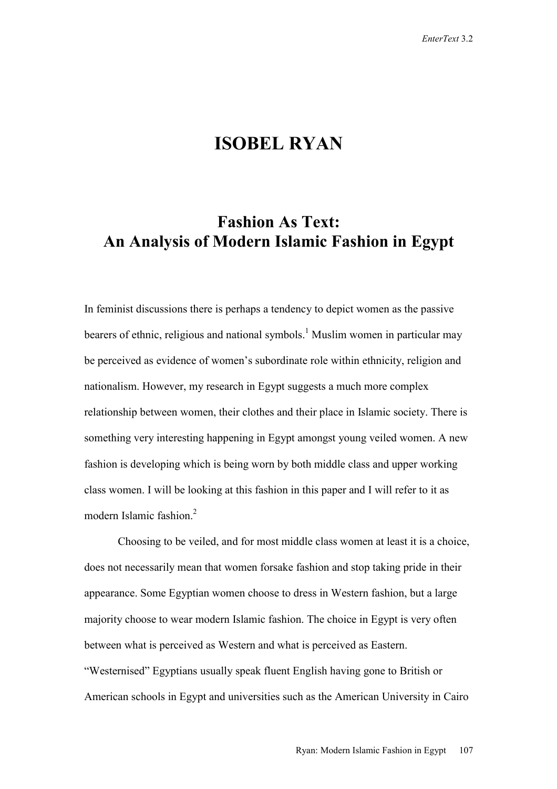## **ISOBEL RYAN**

## **Fashion As Text: An Analysis of Modern Islamic Fashion in Egypt**

In feminist discussions there is perhaps a tendency to depict women as the passive bearers of ethnic, religious and national symbols.<sup>1</sup> Muslim women in particular may be perceived as evidence of women's subordinate role within ethnicity, religion and nationalism. However, my research in Egypt suggests a much more complex relationship between women, their clothes and their place in Islamic society. There is something very interesting happening in Egypt amongst young veiled women. A new fashion is developing which is being worn by both middle class and upper working class women. I will be looking at this fashion in this paper and I will refer to it as modern Islamic fashion.<sup>2</sup>

Choosing to be veiled, and for most middle class women at least it is a choice, does not necessarily mean that women forsake fashion and stop taking pride in their appearance. Some Egyptian women choose to dress in Western fashion, but a large majority choose to wear modern Islamic fashion. The choice in Egypt is very often between what is perceived as Western and what is perceived as Eastern. "Westernised" Egyptians usually speak fluent English having gone to British or American schools in Egypt and universities such as the American University in Cairo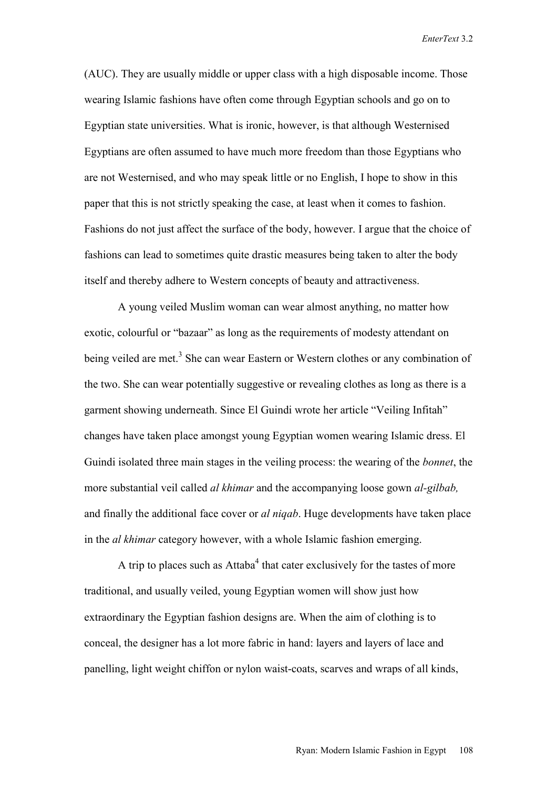(AUC). They are usually middle or upper class with a high disposable income. Those wearing Islamic fashions have often come through Egyptian schools and go on to Egyptian state universities. What is ironic, however, is that although Westernised Egyptians are often assumed to have much more freedom than those Egyptians who are not Westernised, and who may speak little or no English, I hope to show in this paper that this is not strictly speaking the case, at least when it comes to fashion. Fashions do not just affect the surface of the body, however. I argue that the choice of fashions can lead to sometimes quite drastic measures being taken to alter the body itself and thereby adhere to Western concepts of beauty and attractiveness.

A young veiled Muslim woman can wear almost anything, no matter how exotic, colourful or "bazaar" as long as the requirements of modesty attendant on being veiled are met.<sup>3</sup> She can wear Eastern or Western clothes or any combination of the two. She can wear potentially suggestive or revealing clothes as long as there is a garment showing underneath. Since El Guindi wrote her article "Veiling Infitah" changes have taken place amongst young Egyptian women wearing Islamic dress. El Guindi isolated three main stages in the veiling process: the wearing of the *bonnet*, the more substantial veil called *al khimar* and the accompanying loose gown *al-gilbab,* and finally the additional face cover or *al niqab*. Huge developments have taken place in the *al khimar* category however, with a whole Islamic fashion emerging.

A trip to places such as Attaba<sup>4</sup> that cater exclusively for the tastes of more traditional, and usually veiled, young Egyptian women will show just how extraordinary the Egyptian fashion designs are. When the aim of clothing is to conceal, the designer has a lot more fabric in hand: layers and layers of lace and panelling, light weight chiffon or nylon waist-coats, scarves and wraps of all kinds,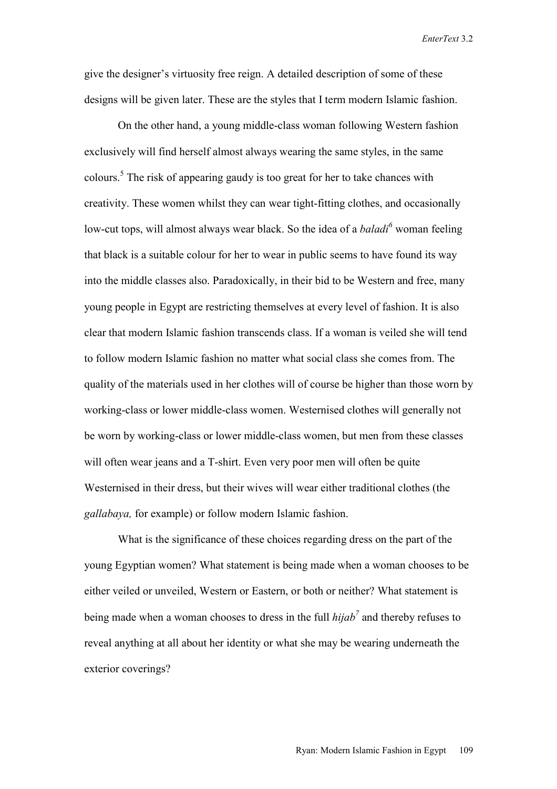give the designer's virtuosity free reign. A detailed description of some of these designs will be given later. These are the styles that I term modern Islamic fashion.

On the other hand, a young middle-class woman following Western fashion exclusively will find herself almost always wearing the same styles, in the same colours.5 The risk of appearing gaudy is too great for her to take chances with creativity. These women whilst they can wear tight-fitting clothes, and occasionally low-cut tops, will almost always wear black. So the idea of a *baladi*<sup>6</sup> woman feeling that black is a suitable colour for her to wear in public seems to have found its way into the middle classes also. Paradoxically, in their bid to be Western and free, many young people in Egypt are restricting themselves at every level of fashion. It is also clear that modern Islamic fashion transcends class. If a woman is veiled she will tend to follow modern Islamic fashion no matter what social class she comes from. The quality of the materials used in her clothes will of course be higher than those worn by working-class or lower middle-class women. Westernised clothes will generally not be worn by working-class or lower middle-class women, but men from these classes will often wear jeans and a T-shirt. Even very poor men will often be quite Westernised in their dress, but their wives will wear either traditional clothes (the *gallabaya,* for example) or follow modern Islamic fashion.

What is the significance of these choices regarding dress on the part of the young Egyptian women? What statement is being made when a woman chooses to be either veiled or unveiled, Western or Eastern, or both or neither? What statement is being made when a woman chooses to dress in the full  $hijab<sup>7</sup>$  and thereby refuses to reveal anything at all about her identity or what she may be wearing underneath the exterior coverings?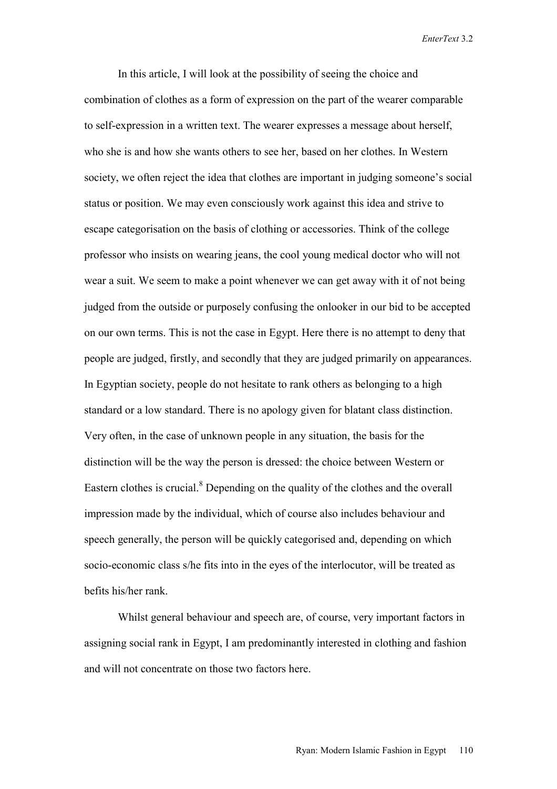In this article, I will look at the possibility of seeing the choice and combination of clothes as a form of expression on the part of the wearer comparable to self-expression in a written text. The wearer expresses a message about herself, who she is and how she wants others to see her, based on her clothes. In Western society, we often reject the idea that clothes are important in judging someone's social status or position. We may even consciously work against this idea and strive to escape categorisation on the basis of clothing or accessories. Think of the college professor who insists on wearing jeans, the cool young medical doctor who will not wear a suit. We seem to make a point whenever we can get away with it of not being judged from the outside or purposely confusing the onlooker in our bid to be accepted on our own terms. This is not the case in Egypt. Here there is no attempt to deny that people are judged, firstly, and secondly that they are judged primarily on appearances. In Egyptian society, people do not hesitate to rank others as belonging to a high standard or a low standard. There is no apology given for blatant class distinction. Very often, in the case of unknown people in any situation, the basis for the distinction will be the way the person is dressed: the choice between Western or Eastern clothes is crucial.<sup>8</sup> Depending on the quality of the clothes and the overall impression made by the individual, which of course also includes behaviour and speech generally, the person will be quickly categorised and, depending on which socio-economic class s/he fits into in the eyes of the interlocutor, will be treated as befits his/her rank.

Whilst general behaviour and speech are, of course, very important factors in assigning social rank in Egypt, I am predominantly interested in clothing and fashion and will not concentrate on those two factors here.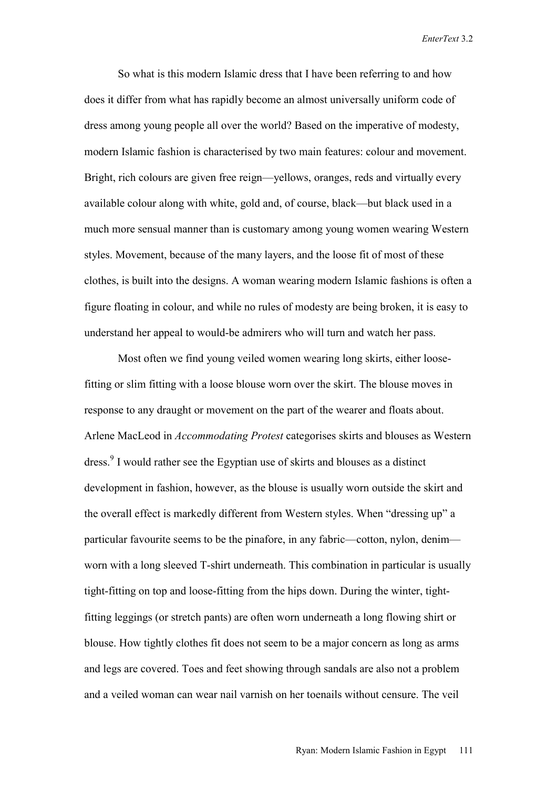So what is this modern Islamic dress that I have been referring to and how does it differ from what has rapidly become an almost universally uniform code of dress among young people all over the world? Based on the imperative of modesty, modern Islamic fashion is characterised by two main features: colour and movement. Bright, rich colours are given free reign—yellows, oranges, reds and virtually every available colour along with white, gold and, of course, black—but black used in a much more sensual manner than is customary among young women wearing Western styles. Movement, because of the many layers, and the loose fit of most of these clothes, is built into the designs. A woman wearing modern Islamic fashions is often a figure floating in colour, and while no rules of modesty are being broken, it is easy to understand her appeal to would-be admirers who will turn and watch her pass.

Most often we find young veiled women wearing long skirts, either loosefitting or slim fitting with a loose blouse worn over the skirt. The blouse moves in response to any draught or movement on the part of the wearer and floats about. Arlene MacLeod in *Accommodating Protest* categorises skirts and blouses as Western dress.<sup>9</sup> I would rather see the Egyptian use of skirts and blouses as a distinct development in fashion, however, as the blouse is usually worn outside the skirt and the overall effect is markedly different from Western styles. When "dressing up" a particular favourite seems to be the pinafore, in any fabric—cotton, nylon, denim worn with a long sleeved T-shirt underneath. This combination in particular is usually tight-fitting on top and loose-fitting from the hips down. During the winter, tightfitting leggings (or stretch pants) are often worn underneath a long flowing shirt or blouse. How tightly clothes fit does not seem to be a major concern as long as arms and legs are covered. Toes and feet showing through sandals are also not a problem and a veiled woman can wear nail varnish on her toenails without censure. The veil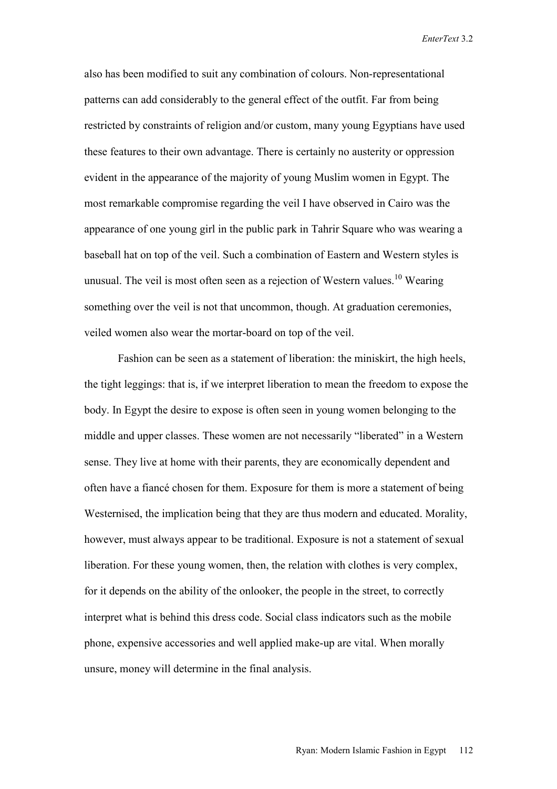also has been modified to suit any combination of colours. Non-representational patterns can add considerably to the general effect of the outfit. Far from being restricted by constraints of religion and/or custom, many young Egyptians have used these features to their own advantage. There is certainly no austerity or oppression evident in the appearance of the majority of young Muslim women in Egypt. The most remarkable compromise regarding the veil I have observed in Cairo was the appearance of one young girl in the public park in Tahrir Square who was wearing a baseball hat on top of the veil. Such a combination of Eastern and Western styles is unusual. The veil is most often seen as a rejection of Western values.<sup>10</sup> Wearing something over the veil is not that uncommon, though. At graduation ceremonies, veiled women also wear the mortar-board on top of the veil.

Fashion can be seen as a statement of liberation: the miniskirt, the high heels, the tight leggings: that is, if we interpret liberation to mean the freedom to expose the body. In Egypt the desire to expose is often seen in young women belonging to the middle and upper classes. These women are not necessarily "liberated" in a Western sense. They live at home with their parents, they are economically dependent and often have a fiancé chosen for them. Exposure for them is more a statement of being Westernised, the implication being that they are thus modern and educated. Morality, however, must always appear to be traditional. Exposure is not a statement of sexual liberation. For these young women, then, the relation with clothes is very complex, for it depends on the ability of the onlooker, the people in the street, to correctly interpret what is behind this dress code. Social class indicators such as the mobile phone, expensive accessories and well applied make-up are vital. When morally unsure, money will determine in the final analysis.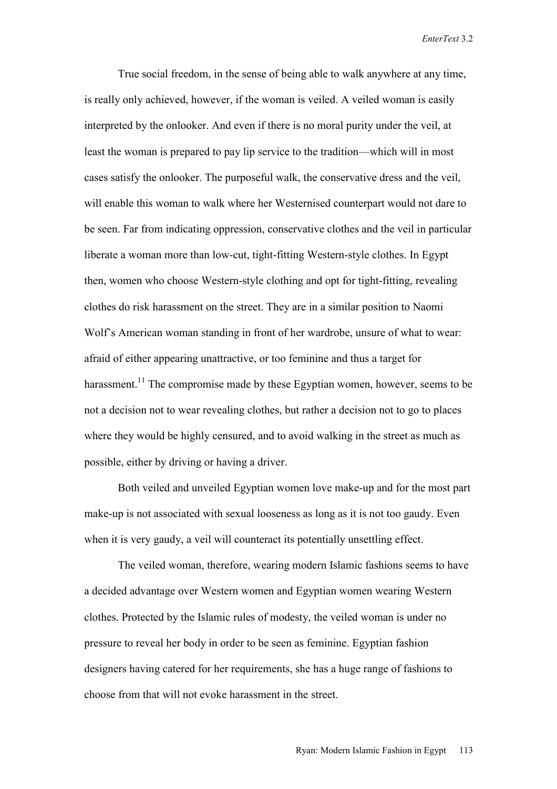True social freedom, in the sense of being able to walk anywhere at any time, is really only achieved, however, if the woman is veiled. A veiled woman is easily interpreted by the onlooker. And even if there is no moral purity under the veil, at least the woman is prepared to pay lip service to the tradition—which will in most cases satisfy the onlooker. The purposeful walk, the conservative dress and the veil, will enable this woman to walk where her Westernised counterpart would not dare to be seen. Far from indicating oppression, conservative clothes and the veil in particular liberate a woman more than low-cut, tight-fitting Western-style clothes. In Egypt then, women who choose Western-style clothing and opt for tight-fitting, revealing clothes do risk harassment on the street. They are in a similar position to Naomi Wolf's American woman standing in front of her wardrobe, unsure of what to wear: afraid of either appearing unattractive, or too feminine and thus a target for harassment.<sup>11</sup> The compromise made by these Egyptian women, however, seems to be not a decision not to wear revealing clothes, but rather a decision not to go to places where they would be highly censured, and to avoid walking in the street as much as possible, either by driving or having a driver.

Both veiled and unveiled Egyptian women love make-up and for the most part make-up is not associated with sexual looseness as long as it is not too gaudy. Even when it is very gaudy, a veil will counteract its potentially unsettling effect.

The veiled woman, therefore, wearing modern Islamic fashions seems to have a decided advantage over Western women and Egyptian women wearing Western clothes. Protected by the Islamic rules of modesty, the veiled woman is under no pressure to reveal her body in order to be seen as feminine. Egyptian fashion designers having catered for her requirements, she has a huge range of fashions to choose from that will not evoke harassment in the street.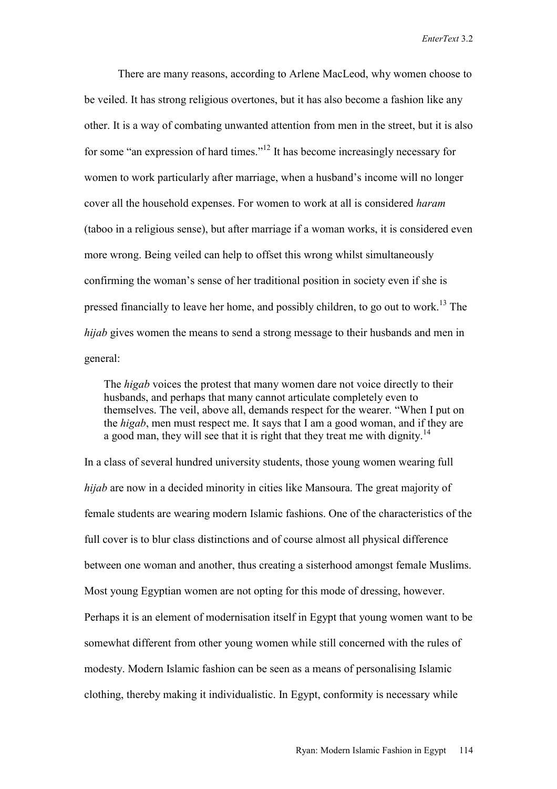There are many reasons, according to Arlene MacLeod, why women choose to be veiled. It has strong religious overtones, but it has also become a fashion like any other. It is a way of combating unwanted attention from men in the street, but it is also for some "an expression of hard times."12 It has become increasingly necessary for women to work particularly after marriage, when a husband's income will no longer cover all the household expenses. For women to work at all is considered *haram* (taboo in a religious sense), but after marriage if a woman works, it is considered even more wrong. Being veiled can help to offset this wrong whilst simultaneously confirming the woman's sense of her traditional position in society even if she is pressed financially to leave her home, and possibly children, to go out to work.<sup>13</sup> The *hijab* gives women the means to send a strong message to their husbands and men in general:

 The *higab* voices the protest that many women dare not voice directly to their husbands, and perhaps that many cannot articulate completely even to themselves. The veil, above all, demands respect for the wearer. "When I put on the *higab*, men must respect me. It says that I am a good woman, and if they are a good man, they will see that it is right that they treat me with dignity.<sup>14</sup>

In a class of several hundred university students, those young women wearing full *hijab* are now in a decided minority in cities like Mansoura. The great majority of female students are wearing modern Islamic fashions. One of the characteristics of the full cover is to blur class distinctions and of course almost all physical difference between one woman and another, thus creating a sisterhood amongst female Muslims. Most young Egyptian women are not opting for this mode of dressing, however. Perhaps it is an element of modernisation itself in Egypt that young women want to be somewhat different from other young women while still concerned with the rules of modesty. Modern Islamic fashion can be seen as a means of personalising Islamic clothing, thereby making it individualistic. In Egypt, conformity is necessary while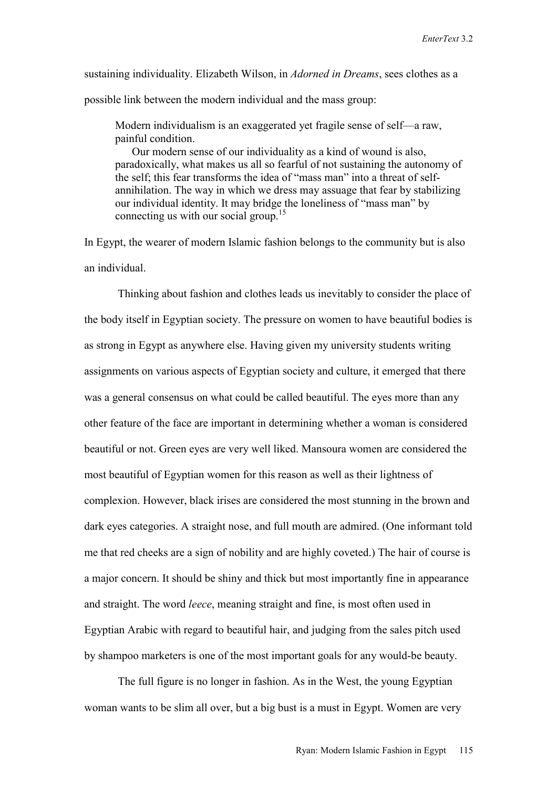sustaining individuality. Elizabeth Wilson, in *Adorned in Dreams*, sees clothes as a possible link between the modern individual and the mass group:

 Modern individualism is an exaggerated yet fragile sense of self—a raw, painful condition.

 Our modern sense of our individuality as a kind of wound is also, paradoxically, what makes us all so fearful of not sustaining the autonomy of the self; this fear transforms the idea of "mass man" into a threat of self annihilation. The way in which we dress may assuage that fear by stabilizing our individual identity. It may bridge the loneliness of "mass man" by connecting us with our social group.<sup>15</sup>

In Egypt, the wearer of modern Islamic fashion belongs to the community but is also an individual.

Thinking about fashion and clothes leads us inevitably to consider the place of the body itself in Egyptian society. The pressure on women to have beautiful bodies is as strong in Egypt as anywhere else. Having given my university students writing assignments on various aspects of Egyptian society and culture, it emerged that there was a general consensus on what could be called beautiful. The eyes more than any other feature of the face are important in determining whether a woman is considered beautiful or not. Green eyes are very well liked. Mansoura women are considered the most beautiful of Egyptian women for this reason as well as their lightness of complexion. However, black irises are considered the most stunning in the brown and dark eyes categories. A straight nose, and full mouth are admired. (One informant told me that red cheeks are a sign of nobility and are highly coveted.) The hair of course is a major concern. It should be shiny and thick but most importantly fine in appearance and straight. The word *leece*, meaning straight and fine, is most often used in Egyptian Arabic with regard to beautiful hair, and judging from the sales pitch used by shampoo marketers is one of the most important goals for any would-be beauty.

The full figure is no longer in fashion. As in the West, the young Egyptian woman wants to be slim all over, but a big bust is a must in Egypt. Women are very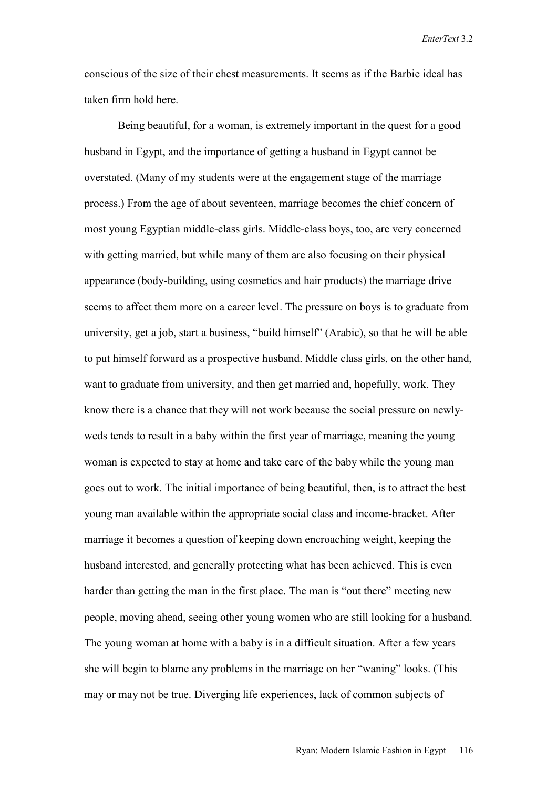conscious of the size of their chest measurements. It seems as if the Barbie ideal has taken firm hold here.

Being beautiful, for a woman, is extremely important in the quest for a good husband in Egypt, and the importance of getting a husband in Egypt cannot be overstated. (Many of my students were at the engagement stage of the marriage process.) From the age of about seventeen, marriage becomes the chief concern of most young Egyptian middle-class girls. Middle-class boys, too, are very concerned with getting married, but while many of them are also focusing on their physical appearance (body-building, using cosmetics and hair products) the marriage drive seems to affect them more on a career level. The pressure on boys is to graduate from university, get a job, start a business, "build himself" (Arabic), so that he will be able to put himself forward as a prospective husband. Middle class girls, on the other hand, want to graduate from university, and then get married and, hopefully, work. They know there is a chance that they will not work because the social pressure on newlyweds tends to result in a baby within the first year of marriage, meaning the young woman is expected to stay at home and take care of the baby while the young man goes out to work. The initial importance of being beautiful, then, is to attract the best young man available within the appropriate social class and income-bracket. After marriage it becomes a question of keeping down encroaching weight, keeping the husband interested, and generally protecting what has been achieved. This is even harder than getting the man in the first place. The man is "out there" meeting new people, moving ahead, seeing other young women who are still looking for a husband. The young woman at home with a baby is in a difficult situation. After a few years she will begin to blame any problems in the marriage on her "waning" looks. (This may or may not be true. Diverging life experiences, lack of common subjects of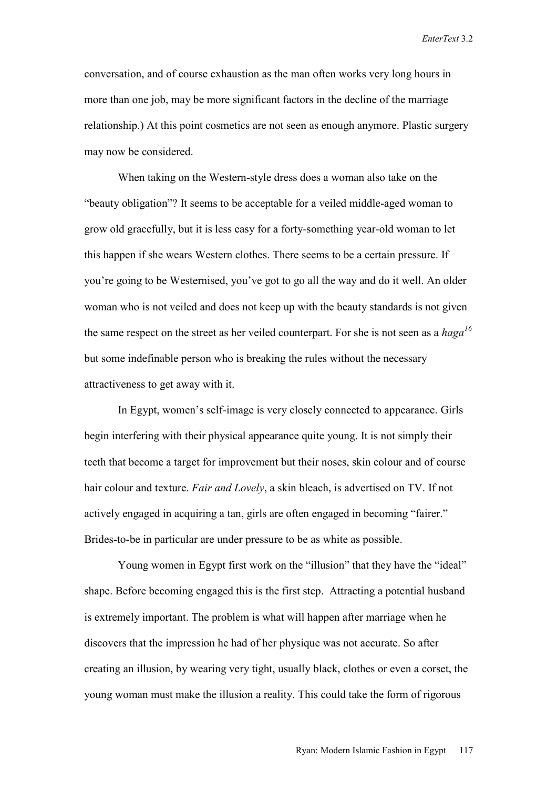conversation, and of course exhaustion as the man often works very long hours in more than one job, may be more significant factors in the decline of the marriage relationship.) At this point cosmetics are not seen as enough anymore. Plastic surgery may now be considered.

When taking on the Western-style dress does a woman also take on the "beauty obligation"? It seems to be acceptable for a veiled middle-aged woman to grow old gracefully, but it is less easy for a forty-something year-old woman to let this happen if she wears Western clothes. There seems to be a certain pressure. If you're going to be Westernised, you've got to go all the way and do it well. An older woman who is not veiled and does not keep up with the beauty standards is not given the same respect on the street as her veiled counterpart. For she is not seen as a *haga<sup>16</sup>* but some indefinable person who is breaking the rules without the necessary attractiveness to get away with it.

In Egypt, women's self-image is very closely connected to appearance. Girls begin interfering with their physical appearance quite young. It is not simply their teeth that become a target for improvement but their noses, skin colour and of course hair colour and texture. *Fair and Lovely*, a skin bleach, is advertised on TV. If not actively engaged in acquiring a tan, girls are often engaged in becoming "fairer." Brides-to-be in particular are under pressure to be as white as possible.

Young women in Egypt first work on the "illusion" that they have the "ideal" shape. Before becoming engaged this is the first step. Attracting a potential husband is extremely important. The problem is what will happen after marriage when he discovers that the impression he had of her physique was not accurate. So after creating an illusion, by wearing very tight, usually black, clothes or even a corset, the young woman must make the illusion a reality. This could take the form of rigorous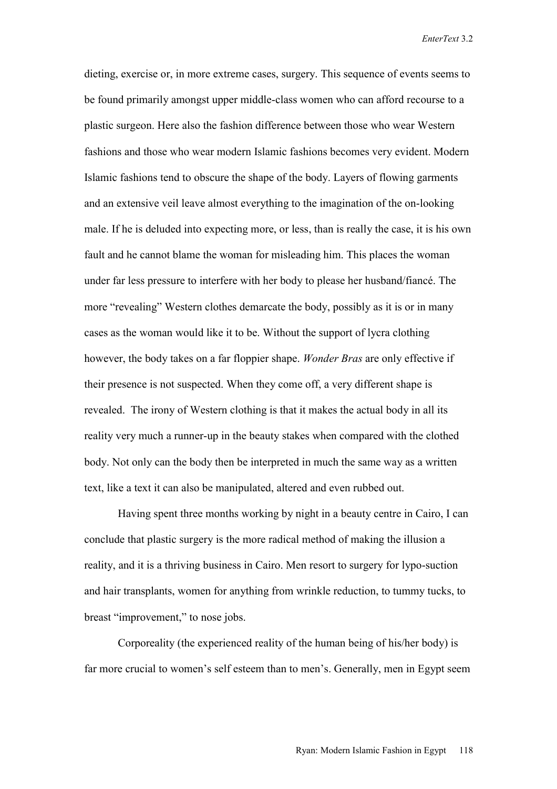dieting, exercise or, in more extreme cases, surgery. This sequence of events seems to be found primarily amongst upper middle-class women who can afford recourse to a plastic surgeon. Here also the fashion difference between those who wear Western fashions and those who wear modern Islamic fashions becomes very evident. Modern Islamic fashions tend to obscure the shape of the body. Layers of flowing garments and an extensive veil leave almost everything to the imagination of the on-looking male. If he is deluded into expecting more, or less, than is really the case, it is his own fault and he cannot blame the woman for misleading him. This places the woman under far less pressure to interfere with her body to please her husband/fiancé. The more "revealing" Western clothes demarcate the body, possibly as it is or in many cases as the woman would like it to be. Without the support of lycra clothing however, the body takes on a far floppier shape. *Wonder Bras* are only effective if their presence is not suspected. When they come off, a very different shape is revealed. The irony of Western clothing is that it makes the actual body in all its reality very much a runner-up in the beauty stakes when compared with the clothed body. Not only can the body then be interpreted in much the same way as a written text, like a text it can also be manipulated, altered and even rubbed out.

Having spent three months working by night in a beauty centre in Cairo, I can conclude that plastic surgery is the more radical method of making the illusion a reality, and it is a thriving business in Cairo. Men resort to surgery for lypo-suction and hair transplants, women for anything from wrinkle reduction, to tummy tucks, to breast "improvement," to nose jobs.

Corporeality (the experienced reality of the human being of his/her body) is far more crucial to women's self esteem than to men's. Generally, men in Egypt seem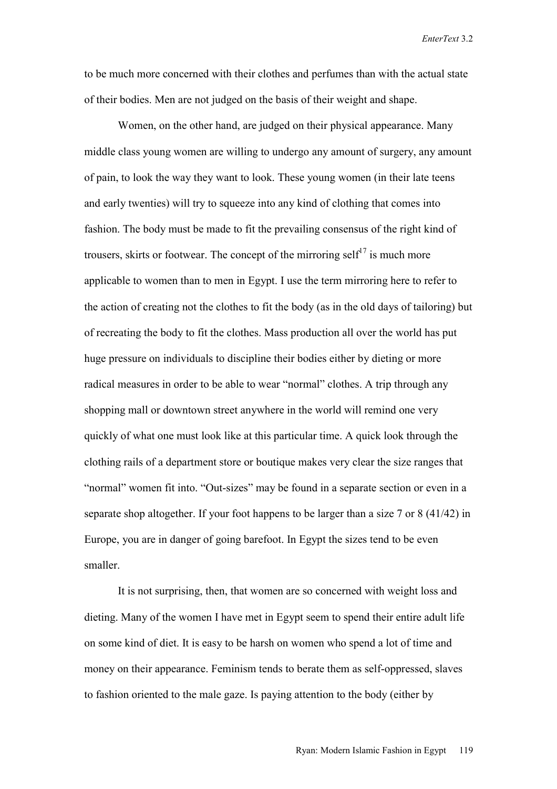to be much more concerned with their clothes and perfumes than with the actual state of their bodies. Men are not judged on the basis of their weight and shape.

Women, on the other hand, are judged on their physical appearance. Many middle class young women are willing to undergo any amount of surgery, any amount of pain, to look the way they want to look. These young women (in their late teens and early twenties) will try to squeeze into any kind of clothing that comes into fashion. The body must be made to fit the prevailing consensus of the right kind of trousers, skirts or footwear. The concept of the mirroring self<sup>17</sup> is much more applicable to women than to men in Egypt. I use the term mirroring here to refer to the action of creating not the clothes to fit the body (as in the old days of tailoring) but of recreating the body to fit the clothes. Mass production all over the world has put huge pressure on individuals to discipline their bodies either by dieting or more radical measures in order to be able to wear "normal" clothes. A trip through any shopping mall or downtown street anywhere in the world will remind one very quickly of what one must look like at this particular time. A quick look through the clothing rails of a department store or boutique makes very clear the size ranges that "normal" women fit into. "Out-sizes" may be found in a separate section or even in a separate shop altogether. If your foot happens to be larger than a size 7 or 8 (41/42) in Europe, you are in danger of going barefoot. In Egypt the sizes tend to be even smaller.

It is not surprising, then, that women are so concerned with weight loss and dieting. Many of the women I have met in Egypt seem to spend their entire adult life on some kind of diet. It is easy to be harsh on women who spend a lot of time and money on their appearance. Feminism tends to berate them as self-oppressed, slaves to fashion oriented to the male gaze. Is paying attention to the body (either by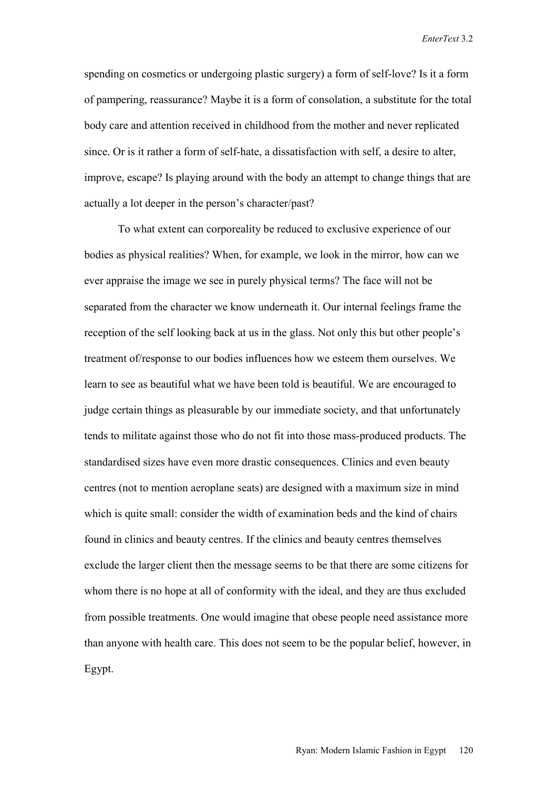spending on cosmetics or undergoing plastic surgery) a form of self-love? Is it a form of pampering, reassurance? Maybe it is a form of consolation, a substitute for the total body care and attention received in childhood from the mother and never replicated since. Or is it rather a form of self-hate, a dissatisfaction with self, a desire to alter, improve, escape? Is playing around with the body an attempt to change things that are actually a lot deeper in the person's character/past?

To what extent can corporeality be reduced to exclusive experience of our bodies as physical realities? When, for example, we look in the mirror, how can we ever appraise the image we see in purely physical terms? The face will not be separated from the character we know underneath it. Our internal feelings frame the reception of the self looking back at us in the glass. Not only this but other people's treatment of/response to our bodies influences how we esteem them ourselves. We learn to see as beautiful what we have been told is beautiful. We are encouraged to judge certain things as pleasurable by our immediate society, and that unfortunately tends to militate against those who do not fit into those mass-produced products. The standardised sizes have even more drastic consequences. Clinics and even beauty centres (not to mention aeroplane seats) are designed with a maximum size in mind which is quite small: consider the width of examination beds and the kind of chairs found in clinics and beauty centres. If the clinics and beauty centres themselves exclude the larger client then the message seems to be that there are some citizens for whom there is no hope at all of conformity with the ideal, and they are thus excluded from possible treatments. One would imagine that obese people need assistance more than anyone with health care. This does not seem to be the popular belief, however, in Egypt.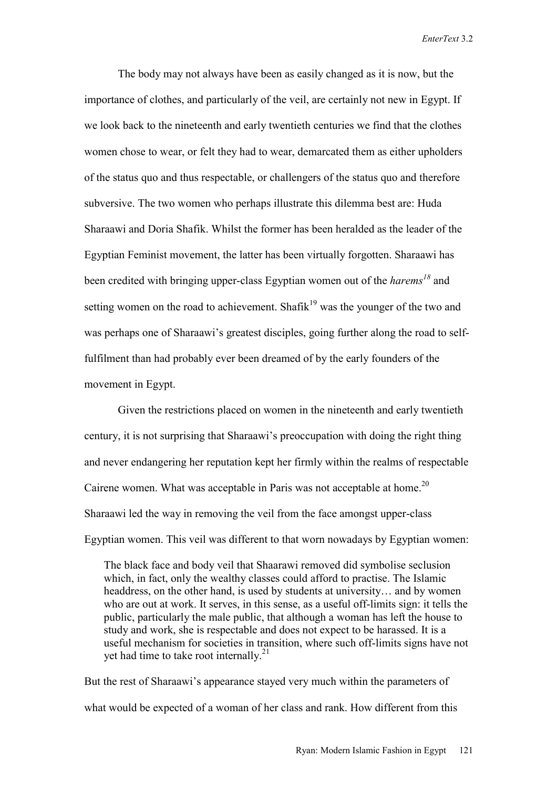The body may not always have been as easily changed as it is now, but the importance of clothes, and particularly of the veil, are certainly not new in Egypt. If we look back to the nineteenth and early twentieth centuries we find that the clothes women chose to wear, or felt they had to wear, demarcated them as either upholders of the status quo and thus respectable, or challengers of the status quo and therefore subversive. The two women who perhaps illustrate this dilemma best are: Huda Sharaawi and Doria Shafik. Whilst the former has been heralded as the leader of the Egyptian Feminist movement, the latter has been virtually forgotten. Sharaawi has been credited with bringing upper-class Egyptian women out of the *harems<sup>18</sup>* and setting women on the road to achievement. Shafik<sup>19</sup> was the younger of the two and was perhaps one of Sharaawi's greatest disciples, going further along the road to selffulfilment than had probably ever been dreamed of by the early founders of the movement in Egypt.

Given the restrictions placed on women in the nineteenth and early twentieth century, it is not surprising that Sharaawi's preoccupation with doing the right thing and never endangering her reputation kept her firmly within the realms of respectable Cairene women. What was acceptable in Paris was not acceptable at home.<sup>20</sup> Sharaawi led the way in removing the veil from the face amongst upper-class Egyptian women. This veil was different to that worn nowadays by Egyptian women:

 The black face and body veil that Shaarawi removed did symbolise seclusion which, in fact, only the wealthy classes could afford to practise. The Islamic headdress, on the other hand, is used by students at university… and by women who are out at work. It serves, in this sense, as a useful off-limits sign: it tells the public, particularly the male public, that although a woman has left the house to study and work, she is respectable and does not expect to be harassed. It is a useful mechanism for societies in transition, where such off-limits signs have not yet had time to take root internally.<sup>21</sup>

But the rest of Sharaawi's appearance stayed very much within the parameters of what would be expected of a woman of her class and rank. How different from this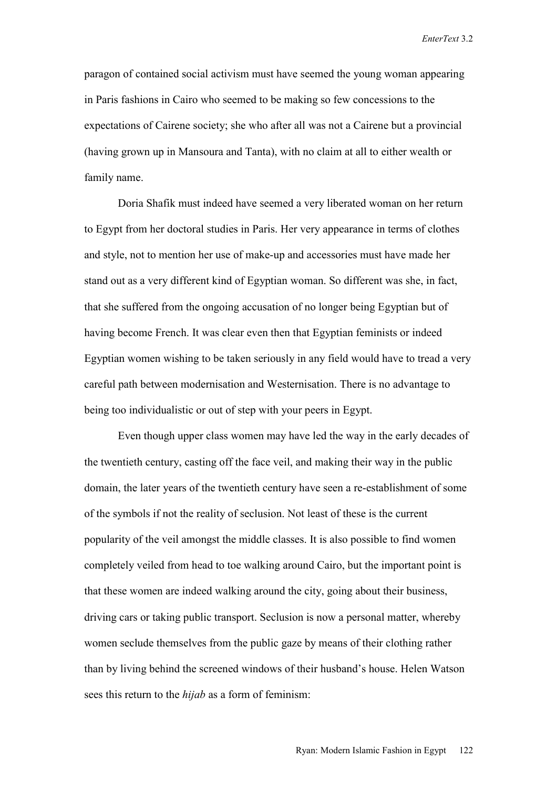paragon of contained social activism must have seemed the young woman appearing in Paris fashions in Cairo who seemed to be making so few concessions to the expectations of Cairene society; she who after all was not a Cairene but a provincial (having grown up in Mansoura and Tanta), with no claim at all to either wealth or family name.

Doria Shafik must indeed have seemed a very liberated woman on her return to Egypt from her doctoral studies in Paris. Her very appearance in terms of clothes and style, not to mention her use of make-up and accessories must have made her stand out as a very different kind of Egyptian woman. So different was she, in fact, that she suffered from the ongoing accusation of no longer being Egyptian but of having become French. It was clear even then that Egyptian feminists or indeed Egyptian women wishing to be taken seriously in any field would have to tread a very careful path between modernisation and Westernisation. There is no advantage to being too individualistic or out of step with your peers in Egypt.

Even though upper class women may have led the way in the early decades of the twentieth century, casting off the face veil, and making their way in the public domain, the later years of the twentieth century have seen a re-establishment of some of the symbols if not the reality of seclusion. Not least of these is the current popularity of the veil amongst the middle classes. It is also possible to find women completely veiled from head to toe walking around Cairo, but the important point is that these women are indeed walking around the city, going about their business, driving cars or taking public transport. Seclusion is now a personal matter, whereby women seclude themselves from the public gaze by means of their clothing rather than by living behind the screened windows of their husband's house. Helen Watson sees this return to the *hijab* as a form of feminism: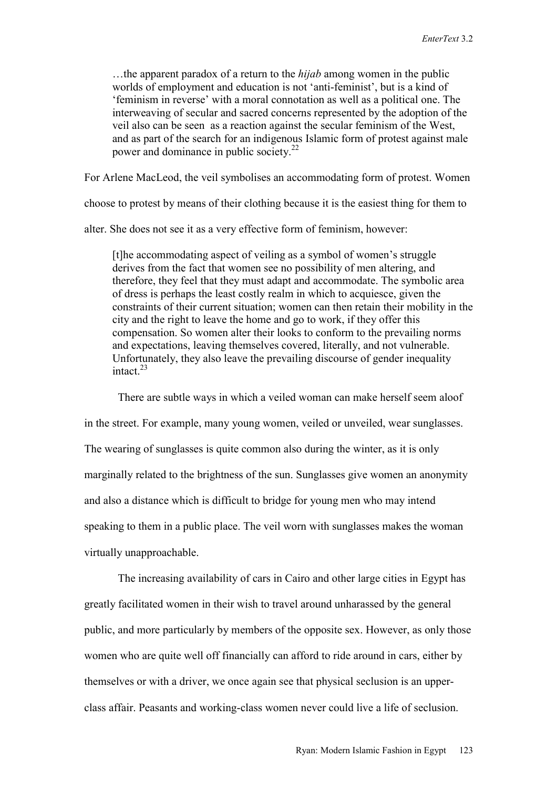…the apparent paradox of a return to the *hijab* among women in the public worlds of employment and education is not 'anti-feminist', but is a kind of 'feminism in reverse' with a moral connotation as well as a political one. The interweaving of secular and sacred concerns represented by the adoption of the veil also can be seen as a reaction against the secular feminism of the West, and as part of the search for an indigenous Islamic form of protest against male power and dominance in public society.<sup>22</sup>

For Arlene MacLeod, the veil symbolises an accommodating form of protest. Women

choose to protest by means of their clothing because it is the easiest thing for them to

alter. She does not see it as a very effective form of feminism, however:

 [t]he accommodating aspect of veiling as a symbol of women's struggle derives from the fact that women see no possibility of men altering, and therefore, they feel that they must adapt and accommodate. The symbolic area of dress is perhaps the least costly realm in which to acquiesce, given the constraints of their current situation; women can then retain their mobility in the city and the right to leave the home and go to work, if they offer this compensation. So women alter their looks to conform to the prevailing norms and expectations, leaving themselves covered, literally, and not vulnerable. Unfortunately, they also leave the prevailing discourse of gender inequality intact $^{23}$ 

There are subtle ways in which a veiled woman can make herself seem aloof in the street. For example, many young women, veiled or unveiled, wear sunglasses. The wearing of sunglasses is quite common also during the winter, as it is only marginally related to the brightness of the sun. Sunglasses give women an anonymity and also a distance which is difficult to bridge for young men who may intend speaking to them in a public place. The veil worn with sunglasses makes the woman virtually unapproachable.

The increasing availability of cars in Cairo and other large cities in Egypt has greatly facilitated women in their wish to travel around unharassed by the general public, and more particularly by members of the opposite sex. However, as only those women who are quite well off financially can afford to ride around in cars, either by themselves or with a driver, we once again see that physical seclusion is an upperclass affair. Peasants and working-class women never could live a life of seclusion.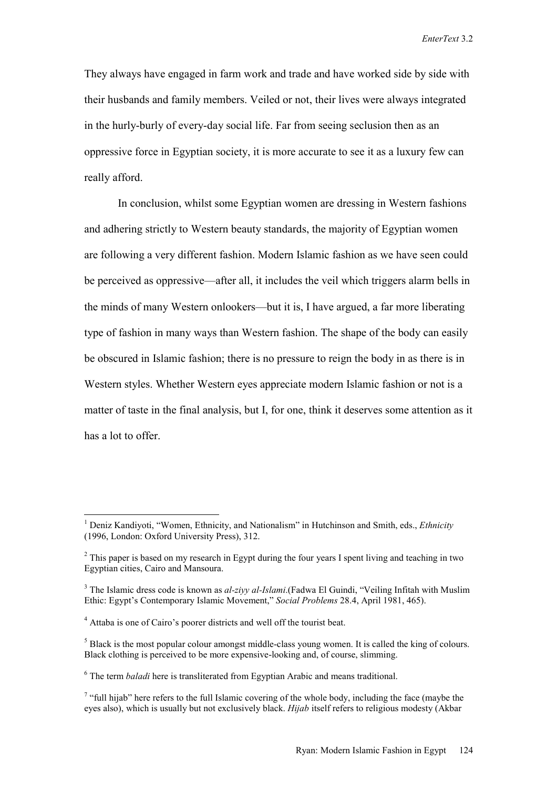They always have engaged in farm work and trade and have worked side by side with their husbands and family members. Veiled or not, their lives were always integrated in the hurly-burly of every-day social life. Far from seeing seclusion then as an oppressive force in Egyptian society, it is more accurate to see it as a luxury few can really afford.

In conclusion, whilst some Egyptian women are dressing in Western fashions and adhering strictly to Western beauty standards, the majority of Egyptian women are following a very different fashion. Modern Islamic fashion as we have seen could be perceived as oppressive—after all, it includes the veil which triggers alarm bells in the minds of many Western onlookers—but it is, I have argued, a far more liberating type of fashion in many ways than Western fashion. The shape of the body can easily be obscured in Islamic fashion; there is no pressure to reign the body in as there is in Western styles. Whether Western eyes appreciate modern Islamic fashion or not is a matter of taste in the final analysis, but I, for one, think it deserves some attention as it has a lot to offer.

 $\overline{a}$ 

<sup>&</sup>lt;sup>1</sup> Deniz Kandiyoti, "Women, Ethnicity, and Nationalism" in Hutchinson and Smith, eds., *Ethnicity* (1996, London: Oxford University Press), 312.

 $2^2$  This paper is based on my research in Egypt during the four years I spent living and teaching in two Egyptian cities, Cairo and Mansoura.

<sup>&</sup>lt;sup>3</sup> The Islamic dress code is known as *al-ziyy al-Islami*.(Fadwa El Guindi, "Veiling Infitah with Muslim Ethic: Egypt's Contemporary Islamic Movement," *Social Problems* 28.4, April 1981, 465).

<sup>&</sup>lt;sup>4</sup> Attaba is one of Cairo's poorer districts and well off the tourist beat.

 $<sup>5</sup>$  Black is the most popular colour amongst middle-class young women. It is called the king of colours.</sup> Black clothing is perceived to be more expensive-looking and, of course, slimming.

<sup>&</sup>lt;sup>6</sup> The term *baladi* here is transliterated from Egyptian Arabic and means traditional.

 $7$  "full hijab" here refers to the full Islamic covering of the whole body, including the face (maybe the eyes also), which is usually but not exclusively black. *Hijab* itself refers to religious modesty (Akbar